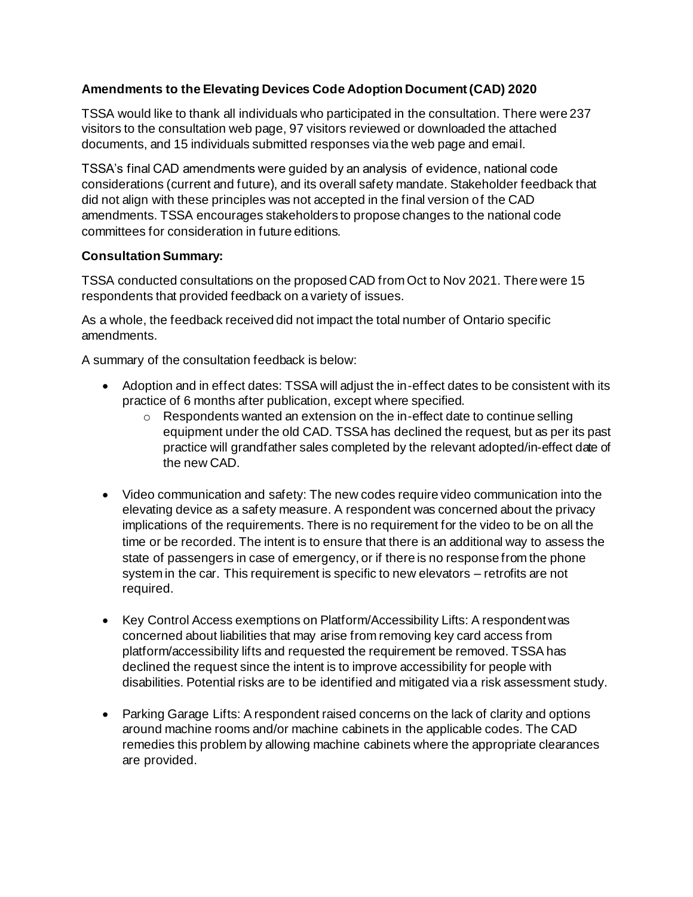## **Amendments to the Elevating Devices Code Adoption Document (CAD) 2020**

TSSA would like to thank all individuals who participated in the consultation. There were 237 visitors to the consultation web page, 97 visitors reviewed or downloaded the attached documents, and 15 individuals submitted responses via the web page and email.

TSSA's final CAD amendments were guided by an analysis of evidence, national code considerations (current and future), and its overall safety mandate. Stakeholder feedback that did not align with these principles was not accepted in the final version of the CAD amendments. TSSA encourages stakeholders to propose changes to the national code committees for consideration in future editions.

#### **Consultation Summary:**

TSSA conducted consultations on the proposed CAD from Oct to Nov 2021. There were 15 respondents that provided feedback on a variety of issues.

As a whole, the feedback received did not impact the total number of Ontario specific amendments.

A summary of the consultation feedback is below:

- Adoption and in effect dates: TSSA will adjust the in-effect dates to be consistent with its practice of 6 months after publication, except where specified.
	- o Respondents wanted an extension on the in-effect date to continue selling equipment under the old CAD. TSSA has declined the request, but as per its past practice will grandfather sales completed by the relevant adopted/in-effect date of the new CAD.
- Video communication and safety: The new codes require video communication into the elevating device as a safety measure. A respondent was concerned about the privacy implications of the requirements. There is no requirement for the video to be on all the time or be recorded. The intent is to ensure that there is an additional way to assess the state of passengers in case of emergency, or if there is no response from the phone system in the car. This requirement is specific to new elevators – retrofits are not required.
- Key Control Access exemptions on Platform/Accessibility Lifts: A respondent was concerned about liabilities that may arise from removing key card access from platform/accessibility lifts and requested the requirement be removed. TSSA has declined the request since the intent is to improve accessibility for people with disabilities. Potential risks are to be identified and mitigated via a risk assessment study.
- Parking Garage Lifts: A respondent raised concerns on the lack of clarity and options around machine rooms and/or machine cabinets in the applicable codes. The CAD remedies this problem by allowing machine cabinets where the appropriate clearances are provided.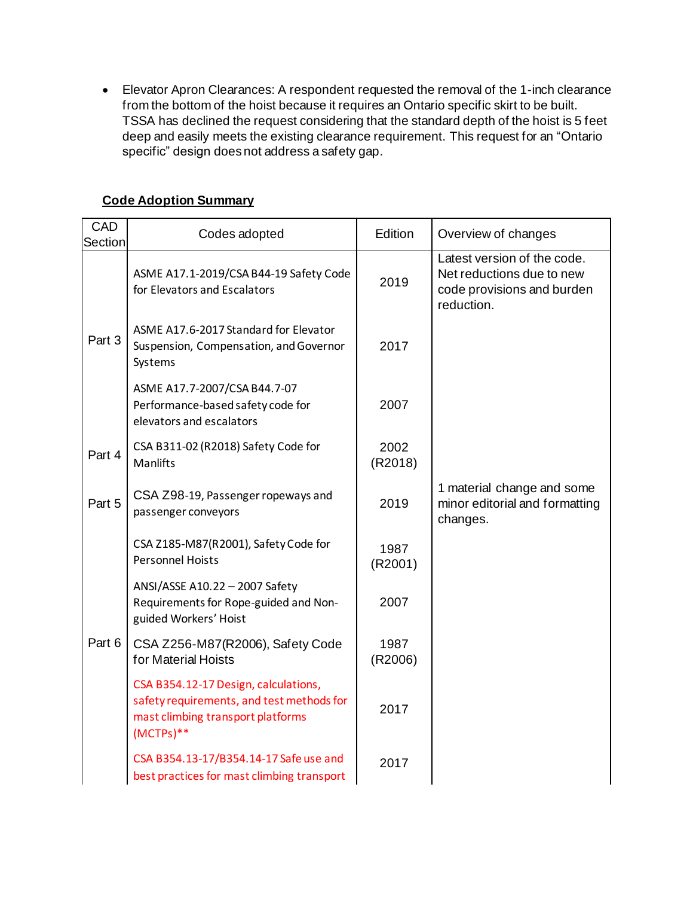• Elevator Apron Clearances: A respondent requested the removal of the 1-inch clearance from the bottom of the hoist because it requires an Ontario specific skirt to be built. TSSA has declined the request considering that the standard depth of the hoist is 5 feet deep and easily meets the existing clearance requirement. This request for an "Ontario specific" design does not address a safety gap.

| <b>CAD</b><br><b>Section</b> | Codes adopted                                                                                                                         | Edition         | Overview of changes                                                                                  |
|------------------------------|---------------------------------------------------------------------------------------------------------------------------------------|-----------------|------------------------------------------------------------------------------------------------------|
|                              | ASME A17.1-2019/CSA B44-19 Safety Code<br>for Elevators and Escalators                                                                | 2019            | Latest version of the code.<br>Net reductions due to new<br>code provisions and burden<br>reduction. |
| Part 3                       | ASME A17.6-2017 Standard for Elevator<br>Suspension, Compensation, and Governor<br>Systems                                            | 2017            |                                                                                                      |
|                              | ASME A17.7-2007/CSA B44.7-07<br>Performance-based safety code for<br>elevators and escalators                                         | 2007            |                                                                                                      |
| Part 4                       | CSA B311-02 (R2018) Safety Code for<br>Manlifts                                                                                       | 2002<br>(R2018) |                                                                                                      |
| Part 5                       | CSA Z98-19, Passenger ropeways and<br>passenger conveyors                                                                             | 2019            | 1 material change and some<br>minor editorial and formatting<br>changes.                             |
|                              | CSA Z185-M87(R2001), Safety Code for<br><b>Personnel Hoists</b>                                                                       | 1987<br>(R2001) |                                                                                                      |
|                              | ANSI/ASSE A10.22 - 2007 Safety<br>Requirements for Rope-guided and Non-<br>guided Workers' Hoist                                      | 2007            |                                                                                                      |
| Part 6                       | CSA Z256-M87(R2006), Safety Code<br>for Material Hoists                                                                               | 1987<br>(R2006) |                                                                                                      |
|                              | CSA B354.12-17 Design, calculations,<br>safety requirements, and test methods for<br>mast climbing transport platforms<br>$(MCTPs)**$ | 2017            |                                                                                                      |
|                              | CSA B354.13-17/B354.14-17 Safe use and<br>best practices for mast climbing transport                                                  | 2017            |                                                                                                      |

# **Code Adoption Summary**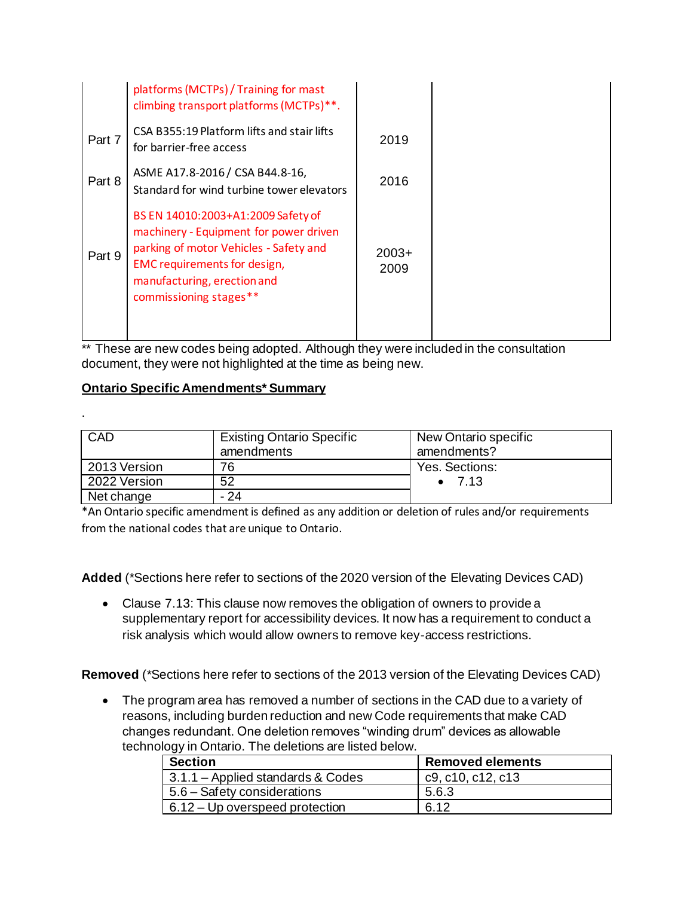|        | platforms (MCTPs) / Training for mast<br>climbing transport platforms (MCTPs)**.                                                                                                                                       |                 |
|--------|------------------------------------------------------------------------------------------------------------------------------------------------------------------------------------------------------------------------|-----------------|
| Part 7 | CSA B355:19 Platform lifts and stair lifts<br>for barrier-free access                                                                                                                                                  | 2019            |
| Part 8 | ASME A17.8-2016 / CSA B44.8-16,<br>Standard for wind turbine tower elevators                                                                                                                                           | 2016            |
| Part 9 | BS EN 14010:2003+A1:2009 Safety of<br>machinery - Equipment for power driven<br>parking of motor Vehicles - Safety and<br><b>EMC</b> requirements for design,<br>manufacturing, erection and<br>commissioning stages** | $2003+$<br>2009 |

\*\* These are new codes being adopted. Although they were included in the consultation document, they were not highlighted at the time as being new.

# **Ontario Specific Amendments\* Summary**

.

| CAD          | <b>Existing Ontario Specific</b><br>amendments | New Ontario specific<br>amendments? |
|--------------|------------------------------------------------|-------------------------------------|
| 2013 Version | 76                                             | Yes. Sections:                      |
| 2022 Version | 52                                             | $\bullet$ 7.13                      |
| Net change   | - 24                                           |                                     |

\*An Ontario specific amendment is defined as any addition or deletion of rules and/or requirements from the national codes that are unique to Ontario.

**Added** (\*Sections here refer to sections of the 2020 version of the Elevating Devices CAD)

• Clause 7.13: This clause now removes the obligation of owners to provide a supplementary report for accessibility devices. It now has a requirement to conduct a risk analysis which would allow owners to remove key-access restrictions.

**Removed** (\*Sections here refer to sections of the 2013 version of the Elevating Devices CAD)

• The program area has removed a number of sections in the CAD due to a variety of reasons, including burden reduction and new Code requirements that make CAD changes redundant. One deletion removes "winding drum" devices as allowable technology in Ontario. The deletions are listed below.

| <b>Section</b>                    | <b>Removed elements</b> |
|-----------------------------------|-------------------------|
| 3.1.1 – Applied standards & Codes | c9, c10, c12, c13       |
| 5.6 – Safety considerations       | 5.6.3                   |
| $6.12 - Up$ overspeed protection  | 6.12                    |